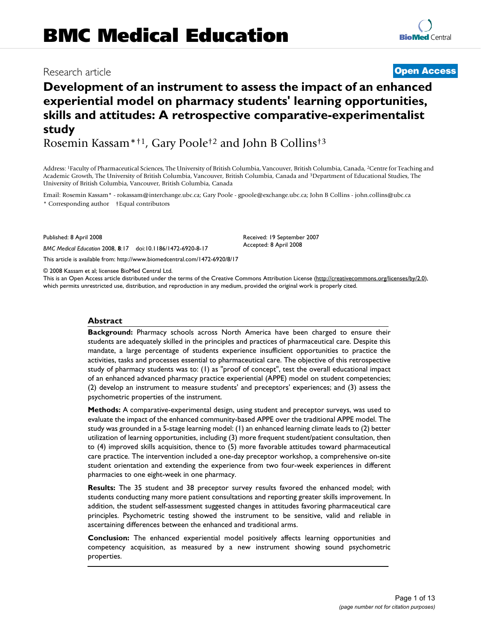## Research article **[Open Access](http://www.biomedcentral.com/info/about/charter/)**

**[BioMed](http://www.biomedcentral.com/)** Central

# **Development of an instrument to assess the impact of an enhanced experiential model on pharmacy students' learning opportunities, skills and attitudes: A retrospective comparative-experimentalist study**

Rosemin Kassam\*†1, Gary Poole†2 and John B Collins†3

Address: <sup>1</sup>Faculty of Pharmaceutical Sciences, The University of British Columbia, Vancouver, British Columbia, Canada, <sup>2</sup>Centre for Teaching and Academic Growth, The University of British Columbia, Vancouver, British Columbia, Canada and 3Department of Educational Studies, The University of British Columbia, Vancouver, British Columbia, Canada

> Received: 19 September 2007 Accepted: 8 April 2008

Email: Rosemin Kassam\* - rokassam@interchange.ubc.ca; Gary Poole - gpoole@exchange.ubc.ca; John B Collins - john.collins@ubc.ca

\* Corresponding author †Equal contributors

Published: 8 April 2008

*BMC Medical Education* 2008, **8**:17 doi:10.1186/1472-6920-8-17

[This article is available from: http://www.biomedcentral.com/1472-6920/8/17](http://www.biomedcentral.com/1472-6920/8/17)

© 2008 Kassam et al; licensee BioMed Central Ltd.

This is an Open Access article distributed under the terms of the Creative Commons Attribution License [\(http://creativecommons.org/licenses/by/2.0\)](http://creativecommons.org/licenses/by/2.0), which permits unrestricted use, distribution, and reproduction in any medium, provided the original work is properly cited.

### **Abstract**

**Background:** Pharmacy schools across North America have been charged to ensure their students are adequately skilled in the principles and practices of pharmaceutical care. Despite this mandate, a large percentage of students experience insufficient opportunities to practice the activities, tasks and processes essential to pharmaceutical care. The objective of this retrospective study of pharmacy students was to: (1) as "proof of concept", test the overall educational impact of an enhanced advanced pharmacy practice experiential (APPE) model on student competencies; (2) develop an instrument to measure students' and preceptors' experiences; and (3) assess the psychometric properties of the instrument.

**Methods:** A comparative-experimental design, using student and preceptor surveys, was used to evaluate the impact of the enhanced community-based APPE over the traditional APPE model. The study was grounded in a 5-stage learning model: (1) an enhanced learning climate leads to (2) better utilization of learning opportunities, including (3) more frequent student/patient consultation, then to (4) improved skills acquisition, thence to (5) more favorable attitudes toward pharmaceutical care practice. The intervention included a one-day preceptor workshop, a comprehensive on-site student orientation and extending the experience from two four-week experiences in different pharmacies to one eight-week in one pharmacy.

**Results:** The 35 student and 38 preceptor survey results favored the enhanced model; with students conducting many more patient consultations and reporting greater skills improvement. In addition, the student self-assessment suggested changes in attitudes favoring pharmaceutical care principles. Psychometric testing showed the instrument to be sensitive, valid and reliable in ascertaining differences between the enhanced and traditional arms.

**Conclusion:** The enhanced experiential model positively affects learning opportunities and competency acquisition, as measured by a new instrument showing sound psychometric properties.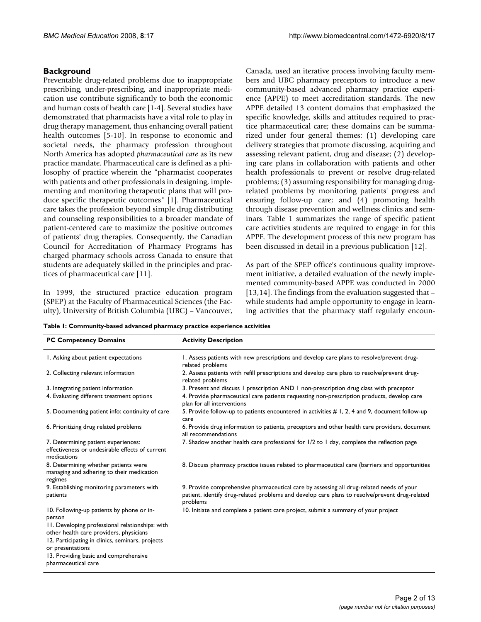## **Background**

Preventable drug-related problems due to inappropriate prescribing, under-prescribing, and inappropriate medication use contribute significantly to both the economic and human costs of health care [1-4]. Several studies have demonstrated that pharmacists have a vital role to play in drug therapy management, thus enhancing overall patient health outcomes [5-10]. In response to economic and societal needs, the pharmacy profession throughout North America has adopted *pharmaceutical care* as its new practice mandate. Pharmaceutical care is defined as a philosophy of practice wherein the "pharmacist cooperates with patients and other professionals in designing, implementing and monitoring therapeutic plans that will produce specific therapeutic outcomes" [1]. Pharmaceutical care takes the profession beyond simple drug distributing and counseling responsibilities to a broader mandate of patient-centered care to maximize the positive outcomes of patients' drug therapies. Consequently, the Canadian Council for Accreditation of Pharmacy Programs has charged pharmacy schools across Canada to ensure that students are adequately skilled in the principles and practices of pharmaceutical care [11].

In 1999, the structured practice education program (SPEP) at the Faculty of Pharmaceutical Sciences (the Faculty), University of British Columbia (UBC) – Vancouver, Canada, used an iterative process involving faculty members and UBC pharmacy preceptors to introduce a new community-based advanced pharmacy practice experience (APPE) to meet accreditation standards. The new APPE detailed 13 content domains that emphasized the specific knowledge, skills and attitudes required to practice pharmaceutical care; these domains can be summarized under four general themes: (1) developing care delivery strategies that promote discussing, acquiring and assessing relevant patient, drug and disease; (2) developing care plans in collaboration with patients and other health professionals to prevent or resolve drug-related problems; (3) assuming responsibility for managing drugrelated problems by monitoring patients' progress and ensuring follow-up care; and (4) promoting health through disease prevention and wellness clinics and seminars. Table 1 summarizes the range of specific patient care activities students are required to engage in for this APPE. The development process of this new program has been discussed in detail in a previous publication [12].

As part of the SPEP office's continuous quality improvement initiative, a detailed evaluation of the newly implemented community-based APPE was conducted in 2000 [13,14]. The findings from the evaluation suggested that – while students had ample opportunity to engage in learning activities that the pharmacy staff regularly encoun-

**Table 1: Community-based advanced pharmacy practice experience activities**

| <b>PC Competency Domains</b>                                                                          | <b>Activity Description</b>                                                                                                                                                                            |
|-------------------------------------------------------------------------------------------------------|--------------------------------------------------------------------------------------------------------------------------------------------------------------------------------------------------------|
| 1. Asking about patient expectations                                                                  | 1. Assess patients with new prescriptions and develop care plans to resolve/prevent drug-<br>related problems                                                                                          |
| 2. Collecting relevant information                                                                    | 2. Assess patients with refill prescriptions and develop care plans to resolve/prevent drug-<br>related problems                                                                                       |
| 3. Integrating patient information                                                                    | 3. Present and discuss 1 prescription AND 1 non-prescription drug class with preceptor                                                                                                                 |
| 4. Evaluating different treatment options                                                             | 4. Provide pharmaceutical care patients requesting non-prescription products, develop care<br>plan for all interventions                                                                               |
| 5. Documenting patient info: continuity of care                                                       | 5. Provide follow-up to patients encountered in activities # 1, 2, 4 and 9, document follow-up<br>care                                                                                                 |
| 6. Prioritizing drug related problems                                                                 | 6. Provide drug information to patients, preceptors and other health care providers, document<br>all recommendations                                                                                   |
| 7. Determining patient experiences:<br>effectiveness or undesirable effects of current<br>medications | 7. Shadow another health care professional for 1/2 to 1 day, complete the reflection page                                                                                                              |
| 8. Determining whether patients were<br>managing and adhering to their medication<br>regimes          | 8. Discuss pharmacy practice issues related to pharmaceutical care (barriers and opportunities                                                                                                         |
| 9. Establishing monitoring parameters with<br>patients                                                | 9. Provide comprehensive pharmaceutical care by assessing all drug-related needs of your<br>patient, identify drug-related problems and develop care plans to resolve/prevent drug-related<br>problems |
| 10. Following-up patients by phone or in-<br>person                                                   | 10. Initiate and complete a patient care project, submit a summary of your project                                                                                                                     |
| 11. Developing professional relationships: with<br>other health care providers, physicians            |                                                                                                                                                                                                        |
| 12. Participating in clinics, seminars, projects                                                      |                                                                                                                                                                                                        |
| or presentations                                                                                      |                                                                                                                                                                                                        |
| 13. Providing basic and comprehensive<br>pharmaceutical care                                          |                                                                                                                                                                                                        |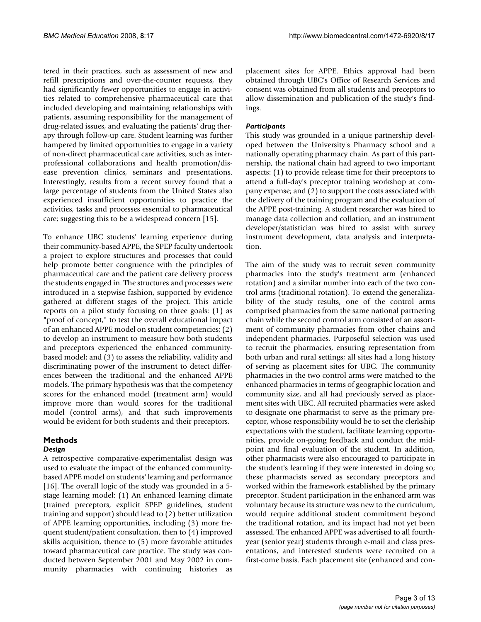tered in their practices, such as assessment of new and refill prescriptions and over-the-counter requests, they had significantly fewer opportunities to engage in activities related to comprehensive pharmaceutical care that included developing and maintaining relationships with patients, assuming responsibility for the management of drug-related issues, and evaluating the patients' drug therapy through follow-up care. Student learning was further hampered by limited opportunities to engage in a variety of non-direct pharmaceutical care activities, such as interprofessional collaborations and health promotion/disease prevention clinics, seminars and presentations. Interestingly, results from a recent survey found that a large percentage of students from the United States also experienced insufficient opportunities to practice the activities, tasks and processes essential to pharmaceutical care; suggesting this to be a widespread concern [15].

To enhance UBC students' learning experience during their community-based APPE, the SPEP faculty undertook a project to explore structures and processes that could help promote better congruence with the principles of pharmaceutical care and the patient care delivery process the students engaged in. The structures and processes were introduced in a stepwise fashion, supported by evidence gathered at different stages of the project. This article reports on a pilot study focusing on three goals: (1) as "proof of concept," to test the overall educational impact of an enhanced APPE model on student competencies; (2) to develop an instrument to measure how both students and preceptors experienced the enhanced communitybased model; and (3) to assess the reliability, validity and discriminating power of the instrument to detect differences between the traditional and the enhanced APPE models. The primary hypothesis was that the competency scores for the enhanced model (treatment arm) would improve more than would scores for the traditional model (control arms), and that such improvements would be evident for both students and their preceptors.

## **Methods**

## *Design*

A retrospective comparative-experimentalist design was used to evaluate the impact of the enhanced communitybased APPE model on students' learning and performance [16]. The overall logic of the study was grounded in a 5 stage learning model: (1) An enhanced learning climate (trained preceptors, explicit SPEP guidelines, student training and support) should lead to (2) better utilization of APPE learning opportunities, including (3) more frequent student/patient consultation, then to (4) improved skills acquisition, thence to (5) more favorable attitudes toward pharmaceutical care practice. The study was conducted between September 2001 and May 2002 in community pharmacies with continuing histories as placement sites for APPE. Ethics approval had been obtained through UBC's Office of Research Services and consent was obtained from all students and preceptors to allow dissemination and publication of the study's findings.

## *Participants*

This study was grounded in a unique partnership developed between the University's Pharmacy school and a nationally operating pharmacy chain. As part of this partnership, the national chain had agreed to two important aspects: (1) to provide release time for their preceptors to attend a full-day's preceptor training workshop at company expense; and (2) to support the costs associated with the delivery of the training program and the evaluation of the APPE post-training. A student researcher was hired to manage data collection and collation, and an instrument developer/statistician was hired to assist with survey instrument development, data analysis and interpretation.

The aim of the study was to recruit seven community pharmacies into the study's treatment arm (enhanced rotation) and a similar number into each of the two control arms (traditional rotation). To extend the generalizability of the study results, one of the control arms comprised pharmacies from the same national partnering chain while the second control arm consisted of an assortment of community pharmacies from other chains and independent pharmacies. Purposeful selection was used to recruit the pharmacies, ensuring representation from both urban and rural settings; all sites had a long history of serving as placement sites for UBC. The community pharmacies in the two control arms were matched to the enhanced pharmacies in terms of geographic location and community size, and all had previously served as placement sites with UBC. All recruited pharmacies were asked to designate one pharmacist to serve as the primary preceptor, whose responsibility would be to set the clerkship expectations with the student, facilitate learning opportunities, provide on-going feedback and conduct the midpoint and final evaluation of the student. In addition, other pharmacists were also encouraged to participate in the student's learning if they were interested in doing so; these pharmacists served as secondary preceptors and worked within the framework established by the primary preceptor. Student participation in the enhanced arm was voluntary because its structure was new to the curriculum, would require additional student commitment beyond the traditional rotation, and its impact had not yet been assessed. The enhanced APPE was advertised to all fourthyear (senior year) students through e-mail and class presentations, and interested students were recruited on a first-come basis. Each placement site (enhanced and con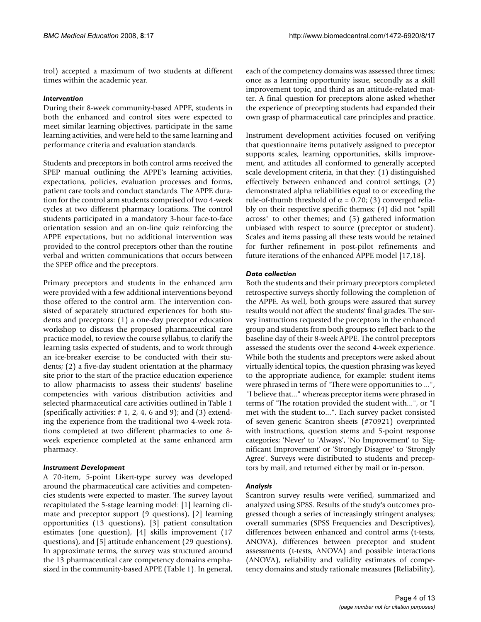trol) accepted a maximum of two students at different times within the academic year.

### *Intervention*

During their 8-week community-based APPE, students in both the enhanced and control sites were expected to meet similar learning objectives, participate in the same learning activities, and were held to the same learning and performance criteria and evaluation standards.

Students and preceptors in both control arms received the SPEP manual outlining the APPE's learning activities, expectations, policies, evaluation processes and forms, patient care tools and conduct standards. The APPE duration for the control arm students comprised of two 4-week cycles at two different pharmacy locations. The control students participated in a mandatory 3-hour face-to-face orientation session and an on-line quiz reinforcing the APPE expectations, but no additional intervention was provided to the control preceptors other than the routine verbal and written communications that occurs between the SPEP office and the preceptors.

Primary preceptors and students in the enhanced arm were provided with a few additional interventions beyond those offered to the control arm. The intervention consisted of separately structured experiences for both students and preceptors: (1) a one-day preceptor education workshop to discuss the proposed pharmaceutical care practice model, to review the course syllabus, to clarify the learning tasks expected of students, and to work through an ice-breaker exercise to be conducted with their students; (2) a five-day student orientation at the pharmacy site prior to the start of the practice education experience to allow pharmacists to assess their students' baseline competencies with various distribution activities and selected pharmaceutical care activities outlined in Table 1 (specifically activities:  $# 1, 2, 4, 6$  and 9); and (3) extending the experience from the traditional two 4-week rotations completed at two different pharmacies to one 8 week experience completed at the same enhanced arm pharmacy.

## *Instrument Development*

A 70-item, 5-point Likert-type survey was developed around the pharmaceutical care activities and competencies students were expected to master. The survey layout recapitulated the 5-stage learning model: [1] learning climate and preceptor support (9 questions), [2] learning opportunities (13 questions), [3] patient consultation estimates (one question), [4] skills improvement (17 questions), and [5] attitude enhancement (29 questions). In approximate terms, the survey was structured around the 13 pharmaceutical care competency domains emphasized in the community-based APPE (Table 1). In general,

each of the competency domains was assessed three times; once as a learning opportunity issue, secondly as a skill improvement topic, and third as an attitude-related matter. A final question for preceptors alone asked whether the experience of precepting students had expanded their own grasp of pharmaceutical care principles and practice.

Instrument development activities focused on verifying that questionnaire items putatively assigned to preceptor supports scales, learning opportunities, skills improvement, and attitudes all conformed to generally accepted scale development criteria, in that they: (1) distinguished effectively between enhanced and control settings; (2) demonstrated alpha reliabilities equal to or exceeding the rule-of-thumb threshold of  $\alpha$  = 0.70; (3) converged reliably on their respective specific themes; (4) did not "spill across" to other themes; and (5) gathered information unbiased with respect to source (preceptor or student). Scales and items passing all these tests would be retained for further refinement in post-pilot refinements and future iterations of the enhanced APPE model [17,18].

## *Data collection*

Both the students and their primary preceptors completed retrospective surveys shortly following the completion of the APPE. As well, both groups were assured that survey results would not affect the students' final grades. The survey instructions requested the preceptors in the enhanced group and students from both groups to reflect back to the baseline day of their 8-week APPE. The control preceptors assessed the students over the second 4-week experience. While both the students and preceptors were asked about virtually identical topics, the question phrasing was keyed to the appropriate audience, for example: student items were phrased in terms of "There were opportunities to ...", "I believe that..." whereas preceptor items were phrased in terms of "The rotation provided the student with...", or "I met with the student to...". Each survey packet consisted of seven generic Scantron sheets (#70921) overprinted with instructions, question stems and 5-point response categories; 'Never' to 'Always', 'No Improvement' to 'Significant Improvement' or 'Strongly Disagree' to 'Strongly Agree'. Surveys were distributed to students and preceptors by mail, and returned either by mail or in-person.

## *Analysis*

Scantron survey results were verified, summarized and analyzed using SPSS. Results of the study's outcomes progressed though a series of increasingly stringent analyses; overall summaries (SPSS Frequencies and Descriptives), differences between enhanced and control arms (t-tests, ANOVA), differences between preceptor and student assessments (t-tests, ANOVA) and possible interactions (ANOVA), reliability and validity estimates of competency domains and study rationale measures (Reliability),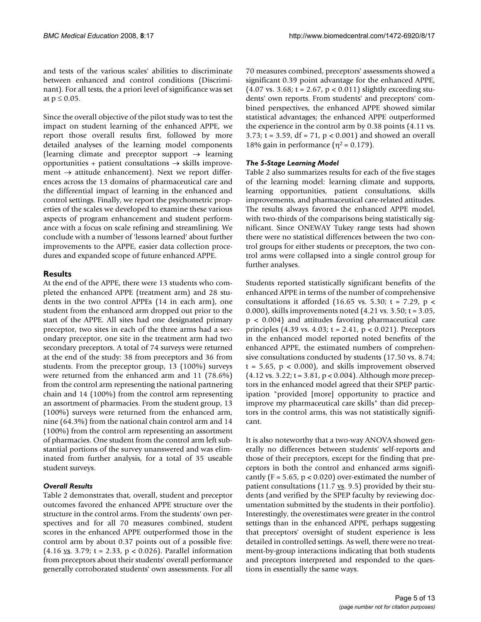and tests of the various scales' abilities to discriminate between enhanced and control conditions (Discriminant). For all tests, the a priori level of significance was set at  $p \leq 0.05$ .

Since the overall objective of the pilot study was to test the impact on student learning of the enhanced APPE, we report those overall results first, followed by more detailed analyses of the learning model components (learning climate and preceptor support  $\rightarrow$  learning opportunities + patient consultations → skills improvement → attitude enhancement). Next we report differences across the 13 domains of pharmaceutical care and the differential impact of learning in the enhanced and control settings. Finally, we report the psychometric properties of the scales we developed to examine these various aspects of program enhancement and student performance with a focus on scale refining and streamlining. We conclude with a number of 'lessons learned' about further improvements to the APPE, easier data collection procedures and expanded scope of future enhanced APPE.

## **Results**

At the end of the APPE, there were 13 students who completed the enhanced APPE (treatment arm) and 28 students in the two control APPEs (14 in each arm), one student from the enhanced arm dropped out prior to the start of the APPE. All sites had one designated primary preceptor, two sites in each of the three arms had a secondary preceptor, one site in the treatment arm had two secondary preceptors. A total of 74 surveys were returned at the end of the study: 38 from preceptors and 36 from students. From the preceptor group, 13 (100%) surveys were returned from the enhanced arm and 11 (78.6%) from the control arm representing the national partnering chain and 14 (100%) from the control arm representing an assortment of pharmacies. From the student group, 13 (100%) surveys were returned from the enhanced arm, nine (64.3%) from the national chain control arm and 14 (100%) from the control arm representing an assortment of pharmacies. One student from the control arm left substantial portions of the survey unanswered and was eliminated from further analysis, for a total of 35 useable student surveys.

## *Overall Results*

Table 2 demonstrates that, overall, student and preceptor outcomes favored the enhanced APPE structure over the structure in the control arms. From the students' own perspectives and for all 70 measures combined, student scores in the enhanced APPE outperformed those in the control arm by about 0.37 points out of a possible five:  $(4.16 \text{ vs. } 3.79; t = 2.33, p < 0.026)$ . Parallel information from preceptors about their students' overall performance generally corroborated students' own assessments. For all

70 measures combined, preceptors' assessments showed a significant 0.39 point advantage for the enhanced APPE, (4.07 vs. 3.68;  $t = 2.67$ ,  $p < 0.011$ ) slightly exceeding students' own reports. From students' and preceptors' combined perspectives, the enhanced APPE showed similar statistical advantages; the enhanced APPE outperformed the experience in the control arm by 0.38 points (4.11 vs. 3.73;  $t = 3.59$ ,  $df = 71$ ,  $p < 0.001$ ) and showed an overall 18% gain in performance  $(\eta^2 = 0.179)$ .

## *The 5-Stage Learning Model*

Table 2 also summarizes results for each of the five stages of the learning model: learning climate and supports, learning opportunities, patient consultations, skills improvements, and pharmaceutical care-related attitudes. The results always favored the enhanced APPE model, with two-thirds of the comparisons being statistically significant. Since ONEWAY Tukey range tests had shown there were no statistical differences between the two control groups for either students or preceptors, the two control arms were collapsed into a single control group for further analyses.

Students reported statistically significant benefits of the enhanced APPE in terms of the number of comprehensive consultations it afforded (16.65 vs. 5.30; t = 7.29,  $p$  < 0.000), skills improvements noted (4.21 vs. 3.50; t = 3.05, p < 0.004) and attitudes favoring pharmaceutical care principles  $(4.39 \text{ vs. } 4.03; t = 2.41, p < 0.021)$ . Preceptors in the enhanced model reported noted benefits of the enhanced APPE, the estimated numbers of comprehensive consultations conducted by students (17.50 vs. 8.74;  $t = 5.65$ ,  $p < 0.000$ , and skills improvement observed  $(4.12 \text{ vs. } 3.22; t = 3.81, p < 0.004)$ . Although more preceptors in the enhanced model agreed that their SPEP participation "provided [more] opportunity to practice and improve my pharmaceutical care skills" than did preceptors in the control arms, this was not statistically significant.

It is also noteworthy that a two-way ANOVA showed generally no differences between students' self-reports and those of their preceptors, except for the finding that preceptors in both the control and enhanced arms significantly ( $F = 5.65$ ,  $p < 0.020$ ) over-estimated the number of patient consultations (11.7  $v$ , 9.5) provided by their stu-</u> dents (and verified by the SPEP faculty by reviewing documentation submitted by the students in their portfolio). Interestingly, the overestimates were greater in the control settings than in the enhanced APPE, perhaps suggesting that preceptors' oversight of student experience is less detailed in controlled settings. As well, there were no treatment-by-group interactions indicating that both students and preceptors interpreted and responded to the questions in essentially the same ways.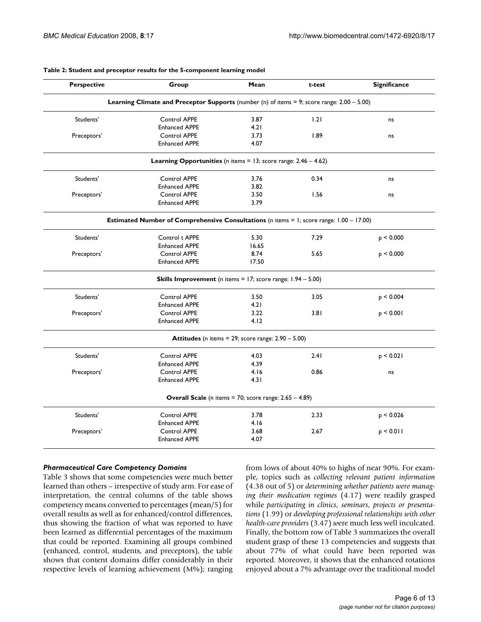| Perspective | Group                                                                                           | Mean                                                             | t-test | <b>Significance</b> |
|-------------|-------------------------------------------------------------------------------------------------|------------------------------------------------------------------|--------|---------------------|
|             | Learning Climate and Preceptor Supports (number (n) of items = 9; score range: 2.00 - 5.00)     |                                                                  |        |                     |
| Students'   | <b>Control APPE</b>                                                                             | 3.87                                                             | 1.21   | ns                  |
|             | <b>Enhanced APPE</b>                                                                            | 4.21                                                             |        |                     |
| Preceptors' | Control APPE                                                                                    | 3.73                                                             | 1.89   | ns                  |
|             | <b>Enhanced APPE</b>                                                                            | 4.07                                                             |        |                     |
|             | <b>Learning Opportunities</b> (n items = 13; score range: $2.46 - 4.62$ )                       |                                                                  |        |                     |
| Students'   | <b>Control APPE</b>                                                                             | 3.76                                                             | 0.34   | ns                  |
|             | <b>Enhanced APPE</b>                                                                            | 3.82                                                             |        |                     |
| Preceptors' | <b>Control APPE</b>                                                                             | 3.50                                                             | 1.56   | ns                  |
|             | <b>Enhanced APPE</b>                                                                            | 3.79                                                             |        |                     |
|             | <b>Estimated Number of Comprehensive Consultations</b> (n items = 1; score range: 1.00 - 17.00) |                                                                  |        |                     |
| Students'   | Control t APPE                                                                                  | 5.30                                                             | 7.29   | p < 0.000           |
|             | <b>Enhanced APPE</b>                                                                            | 16.65                                                            |        |                     |
| Preceptors' | Control APPE                                                                                    | 8.74                                                             | 5.65   | p < 0.000           |
|             | <b>Enhanced APPE</b>                                                                            | 17.50                                                            |        |                     |
|             | Skills Improvement (n items = 17; score range: 1.94 - 5.00)                                     |                                                                  |        |                     |
| Students'   | Control APPE                                                                                    | 3.50                                                             | 3.05   | p < 0.004           |
|             | <b>Enhanced APPE</b>                                                                            | 4.21                                                             |        |                     |
| Preceptors' | Control APPE                                                                                    | 3.22                                                             | 3.81   | $p \le 0.001$       |
|             | <b>Enhanced APPE</b>                                                                            | 4.12                                                             |        |                     |
|             |                                                                                                 | <b>Attitudes</b> (n items = 29; score range: $2.90 - 5.00$ )     |        |                     |
| Students'   | <b>Control APPE</b>                                                                             | 4.03                                                             | 2.41   | p < 0.021           |
|             | <b>Enhanced APPE</b>                                                                            | 4.39                                                             |        |                     |
| Preceptors' | Control APPE                                                                                    | 4.16                                                             | 0.86   | ns                  |
|             | <b>Enhanced APPE</b>                                                                            | 4.31                                                             |        |                     |
|             |                                                                                                 | <b>Overall Scale</b> (n items = 70; score range: $2.65 - 4.89$ ) |        |                     |
| Students'   | Control APPE                                                                                    | 3.78                                                             | 2.33   | p < 0.026           |
|             | <b>Enhanced APPE</b>                                                                            | 4.16                                                             |        |                     |
| Preceptors' | Control APPE                                                                                    | 3.68                                                             | 2.67   | p < 0.011           |
|             |                                                                                                 |                                                                  |        |                     |

#### **Table 2: Student and preceptor results for the 5-component learning model**

#### *Pharmaceutical Care Competency Domains*

Table 3 shows that some competencies were much better learned than others – irrespective of study arm. For ease of interpretation, the central columns of the table shows competency means converted to percentages (mean/5) for overall results as well as for enhanced/control differences, thus showing the fraction of what was reported to have been learned as differential percentages of the maximum that could be reported. Examining all groups combined (enhanced, control, students, and preceptors), the table shows that content domains differ considerably in their respective levels of learning achievement (M%); ranging from lows of about 40% to highs of near 90%. For example, topics such as *collecting relevant patient information* (4.38 out of 5) or *determining whether patients were managing their medication regimes* (4.17) were readily grasped while *participating in clinics, seminars, projects or presentations* (1.99) or *developing professional relationships with other health-care providers* (3.47) *w*ere much less well inculcated. Finally, the bottom row of Table 3 summarizes the overall student grasp of these 13 competencies and suggests that about 77% of what could have been reported was reported. Moreover, it shows that the enhanced rotations enjoyed about a 7% advantage over the traditional model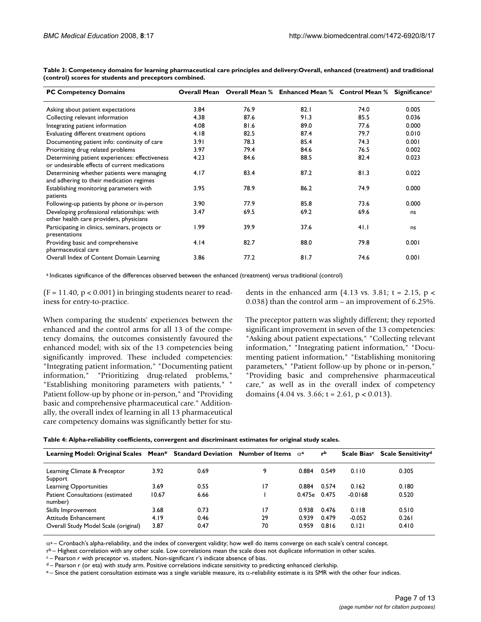| <b>PC Competency Domains</b>                                                                    |      |      | Overall Mean Overall Mean % Enhanced Mean % Control Mean % Significance <sup>a</sup> |      |       |
|-------------------------------------------------------------------------------------------------|------|------|--------------------------------------------------------------------------------------|------|-------|
| Asking about patient expectations                                                               | 3.84 | 76.9 | 82.1                                                                                 | 74.0 | 0.005 |
| Collecting relevant information                                                                 | 4.38 | 87.6 | 91.3                                                                                 | 85.5 | 0.036 |
| Integrating patient information                                                                 | 4.08 | 81.6 | 89.0                                                                                 | 77.6 | 0.000 |
| Evaluating different treatment options                                                          | 4.18 | 82.5 | 87.4                                                                                 | 79.7 | 0.010 |
| Documenting patient info: continuity of care                                                    | 3.91 | 78.3 | 85.4                                                                                 | 74.3 | 0.001 |
| Prioritizing drug related problems                                                              | 3.97 | 79.4 | 84.6                                                                                 | 76.5 | 0.002 |
| Determining patient experiences: effectiveness<br>or undesirable effects of current medications | 4.23 | 84.6 | 88.5                                                                                 | 82.4 | 0.023 |
| Determining whether patients were managing<br>and adhering to their medication regimes          | 4.17 | 83.4 | 87.2                                                                                 | 81.3 | 0.022 |
| Establishing monitoring parameters with<br>patients                                             | 3.95 | 78.9 | 86.2                                                                                 | 74.9 | 0.000 |
| Following-up patients by phone or in-person                                                     | 3.90 | 77.9 | 85.8                                                                                 | 73.6 | 0.000 |
| Developing professional relationships: with<br>other health care providers, physicians          | 3.47 | 69.5 | 69.2                                                                                 | 69.6 | ns    |
| Participating in clinics, seminars, projects or<br>presentations                                | 1.99 | 39.9 | 37.6                                                                                 | 41.1 | ns    |
| Providing basic and comprehensive<br>pharmaceutical care                                        | 4.14 | 82.7 | 88.0                                                                                 | 79.8 | 0.001 |
| Overall Index of Content Domain Learning                                                        | 3.86 | 77.2 | 81.7                                                                                 | 74.6 | 0.001 |

**Table 3: Competency domains for learning pharmaceutical care principles and delivery:Overall, enhanced (treatment) and traditional (control) scores for students and preceptors combined.**

a Indicates significance of the differences observed between the enhanced (treatment) versus traditional (control)

 $(F = 11.40, p < 0.001)$  in bringing students nearer to readiness for entry-to-practice.

dents in the enhanced arm (4.13 vs. 3.81; t = 2.15,  $p$  < 0.038) than the control arm – an improvement of 6.25%.

When comparing the students' experiences between the enhanced and the control arms for all 13 of the competency domains, the outcomes consistently favoured the enhanced model; with six of the 13 competencies being significantly improved. These included competencies: "Integrating patient information," "Documenting patient information," "Prioritizing drug-related problems," "Establishing monitoring parameters with patients," " Patient follow-up by phone or in-person," and "Providing basic and comprehensive pharmaceutical care." Additionally, the overall index of learning in all 13 pharmaceutical care competency domains was significantly better for stuThe preceptor pattern was slightly different; they reported significant improvement in seven of the 13 competencies: "Asking about patient expectations," "Collecting relevant information," "Integrating patient information," "Documenting patient information," "Establishing monitoring parameters," "Patient follow-up by phone or in-person," "Providing basic and comprehensive pharmaceutical care," as well as in the overall index of competency domains  $(4.04 \text{ vs. } 3.66$ ;  $t = 2.61$ ,  $p < 0.013$ ).

| Table 4: Alpha-reliability coefficients, convergent and discriminant estimates for original study scales. |  |  |  |  |  |  |
|-----------------------------------------------------------------------------------------------------------|--|--|--|--|--|--|
|-----------------------------------------------------------------------------------------------------------|--|--|--|--|--|--|

| Learning Model: Original Scales Mean* Standard Deviation Number of Items $\alpha^a$ |       |      |    |        | rb    |           | Scale Bias <sup>c</sup> Scale Sensitivity <sup>d</sup> |
|-------------------------------------------------------------------------------------|-------|------|----|--------|-------|-----------|--------------------------------------------------------|
| Learning Climate & Preceptor<br>Support                                             | 3.92  | 0.69 | 9  | 0.884  | 0.549 | 0.110     | 0.305                                                  |
| Learning Opportunities                                                              | 3.69  | 0.55 | 17 | 0.884  | 0.574 | 0.162     | 0.180                                                  |
| <b>Patient Consultations (estimated</b><br>number)                                  | 10.67 | 6.66 |    | 0.475e | 0.475 | $-0.0168$ | 0.520                                                  |
| Skills Improvement                                                                  | 3.68  | 0.73 | 17 | 0.938  | 0.476 | 0.118     | 0.510                                                  |
| Attitude Enhancement                                                                | 4.19  | 0.46 | 29 | 0.939  | 0.479 | $-0.052$  | 0.261                                                  |
| Overall Study Model Scale (original)                                                | 3.87  | 0.47 | 70 | 0.959  | 0.816 | 0.121     | 0.410                                                  |

 $\alpha^2$  – Cronbach's alpha-reliability, and the index of convergent validity; how well do items converge on each scale's central concept.

 $r<sup>b</sup>$  – Highest correlation with any other scale. Low correlations mean the scale does not duplicate information in other scales.

<sup>c</sup> – Pearson r with preceptor vs. student. Non-significant r's indicate absence of bias.

 $d$  – Pearson r (or eta) with study arm. Positive correlations indicate sensitivity to predicting enhanced clerkship.

e – Since the patient consultation estimate was a single variable measure, its α-reliability estimate is its SMR with the other four indices.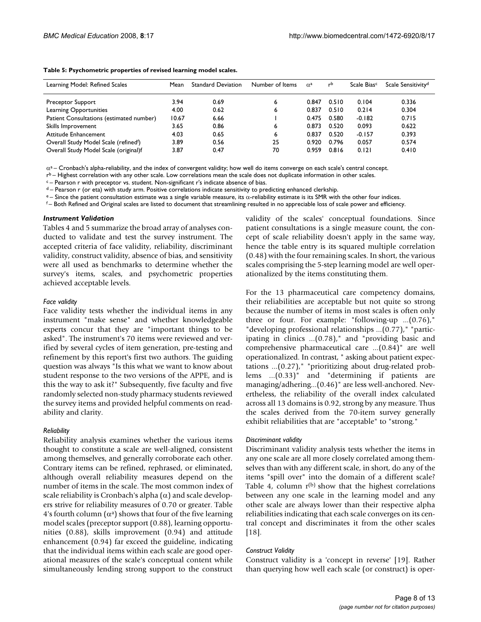| Learning Model: Refined Scales           | Mean  | <b>Standard Deviation</b> | Number of Items | $\alpha^a$ | r <sub>p</sub> | Scale Bias <sup>c</sup> | Scale Sensitivity <sup>d</sup> |
|------------------------------------------|-------|---------------------------|-----------------|------------|----------------|-------------------------|--------------------------------|
| Preceptor Support                        | 3.94  | 0.69                      | 6               | 0.847      | 0.510          | 0.104                   | 0.336                          |
| Learning Opportunities                   | 4.00  | 0.62                      | 6               | 0.837      | 0.510          | 0.214                   | 0.304                          |
| Patient Consultations (estimated number) | 10.67 | 6.66                      |                 | 0.475      | 0.580          | $-0.182$                | 0.715                          |
| Skills Improvement                       | 3.65  | 0.86                      | 6               | 0.873      | 0.520          | 0.093                   | 0.622                          |
| Attitude Enhancement                     | 4.03  | 0.65                      | 6               | 0.837      | 0.520          | $-0.157$                | 0.393                          |
| Overall Study Model Scale (refinedf)     | 3.89  | 0.56                      | 25              | 0.920      | 0.796          | 0.057                   | 0.574                          |
| Overall Study Model Scale (original)f    | 3.87  | 0.47                      | 70              | 0.959      | 0.816          | 0.121                   | 0.410                          |

#### **Table 5: Psychometric properties of revised learning model scales.**

 $\alpha$ <sup>a</sup> – Cronbach's alpha-reliability, and the index of convergent validity; how well do items converge on each scale's central concept.

 $r<sup>b</sup>$  – Highest correlation with any other scale. Low correlations mean the scale does not duplicate information in other scales.

 $c$  – Pearson r with preceptor vs. student. Non-significant r's indicate absence of bias.

<sup>d</sup> – Pearson r (or eta) with study arm. Positive correlations indicate sensitivity to predicting enhanced clerkship.

 $e$  – Since the patient consultation estimate was a single variable measure, its α-reliability estimate is its SMR with the other four indices.

 $f$  Both Refined and Original scales are listed to document that streamlining resulted in no appreciable loss of scale power and efficiency.

#### *Instrument Validation*

Tables 4 and 5 summarize the broad array of analyses conducted to validate and test the survey instrument. The accepted criteria of face validity, reliability, discriminant validity, construct validity, absence of bias, and sensitivity were all used as benchmarks to determine whether the survey's items, scales, and psychometric properties achieved acceptable levels.

#### *Face validity*

Face validity tests whether the individual items in any instrument "make sense" and whether knowledgeable experts concur that they are "important things to be asked". The instrument's 70 items were reviewed and verified by several cycles of item generation, pre-testing and refinement by this report's first two authors. The guiding question was always "Is this what we want to know about student response to the two versions of the APPE, and is this the way to ask it?" Subsequently, five faculty and five randomly selected non-study pharmacy students reviewed the survey items and provided helpful comments on readability and clarity.

#### *Reliability*

Reliability analysis examines whether the various items thought to constitute a scale are well-aligned, consistent among themselves, and generally corroborate each other. Contrary items can be refined, rephrased, or eliminated, although overall reliability measures depend on the number of items in the scale. The most common index of scale reliability is Cronbach's alpha  $(\alpha)$  and scale developers strive for reliability measures of 0.70 or greater. Table 4's fourth column ( $\alpha$ <sup>a</sup>) shows that four of the five learning model scales (preceptor support (0.88), learning opportunities (0.88), skills improvement (0.94) and attitude enhancement (0.94) far exceed the guideline, indicating that the individual items within each scale are good operational measures of the scale's conceptual content while simultaneously lending strong support to the construct validity of the scales' conceptual foundations. Since patient consultations is a single measure count, the concept of scale reliability doesn't apply in the same way, hence the table entry is its squared multiple correlation (0.48) with the four remaining scales. In short, the various scales comprising the 5-step learning model are well operationalized by the items constituting them.

For the 13 pharmaceutical care competency domains, their reliabilities are acceptable but not quite so strong because the number of items in most scales is often only three or four. For example: "following-up ...(0.76)," "developing professional relationships ...(0.77)," "participating in clinics ...(0.78)," and "providing basic and comprehensive pharmaceutical care ...(0.84)" are well operationalized. In contrast, " asking about patient expectations ...(0.27)," "prioritizing about drug-related problems ...(0.33)" and "determining if patients are managing/adhering...(0.46)" are less well-anchored. Nevertheless, the reliability of the overall index calculated across all 13 domains is 0.92, strong by any measure. Thus the scales derived from the 70-item survey generally exhibit reliabilities that are "acceptable" to "strong."

#### *Discriminant validity*

Discriminant validity analysis tests whether the items in any one scale are all more closely correlated among themselves than with any different scale, in short, do any of the items "spill over" into the domain of a different scale? Table 4, column  $r^{(b)}$  show that the highest correlations between any one scale in the learning model and any other scale are always lower than their respective alpha reliabilities indicating that each scale converges on its central concept and discriminates it from the other scales [18].

#### *Construct Validity*

Construct validity is a 'concept in reverse' [19]. Rather than querying how well each scale (or construct) is oper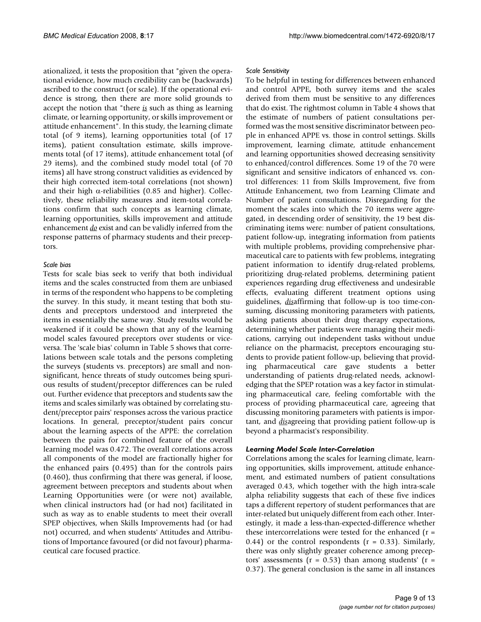ationalized, it tests the proposition that "given the operational evidence, how much credibility can be (backwards) ascribed to the construct (or scale). If the operational evidence is strong, then there are more solid grounds to accept the notion that "there *is* such as thing as learning climate, or learning opportunity, or skills improvement or attitude enhancement". In this study, the learning climate total (of 9 items), learning opportunities total (of 17 items), patient consultation estimate, skills improvements total (of 17 items), attitude enhancement total (of 29 items), and the combined study model total (of 70 items) all have strong construct validities as evidenced by their high corrected item-total correlations (not shown) and their high  $\alpha$ -reliabilities (0.85 and higher). Collectively, these reliability measures and item-total correlations confirm that such concepts as learning climate, learning opportunities, skills improvement and attitude enhancement *do* exist and can be validly inferred from the response patterns of pharmacy students and their preceptors.

### *Scale bias*

Tests for scale bias seek to verify that both individual items and the scales constructed from them are unbiased in terms of the respondent who happens to be completing the survey. In this study, it meant testing that both students and preceptors understood and interpreted the items in essentially the same way. Study results would be weakened if it could be shown that any of the learning model scales favoured preceptors over students or viceversa. The 'scale bias' column in Table 5 shows that correlations between scale totals and the persons completing the surveys (students vs. preceptors) are small and nonsignificant, hence threats of study outcomes being spurious results of student/preceptor differences can be ruled out. Further evidence that preceptors and students saw the items and scales similarly was obtained by correlating student/preceptor pairs' responses across the various practice locations. In general, preceptor/student pairs concur about the learning aspects of the APPE: the correlation between the pairs for combined feature of the overall learning model was 0.472. The overall correlations across all components of the model are fractionally higher for the enhanced pairs (0.495) than for the controls pairs (0.460), thus confirming that there was general, if loose, agreement between preceptors and students about when Learning Opportunities were (or were not) available, when clinical instructors had (or had not) facilitated in such as way as to enable students to meet their overall SPEP objectives, when Skills Improvements had (or had not) occurred, and when students' Attitudes and Attributions of Importance favoured (or did not favour) pharmaceutical care focused practice.

### *Scale Sensitivity*

To be helpful in testing for differences between enhanced and control APPE, both survey items and the scales derived from them must be sensitive to any differences that do exist. The rightmost column in Table 4 shows that the estimate of numbers of patient consultations performed was the most sensitive discriminator between people in enhanced APPE vs. those in control settings. Skills improvement, learning climate, attitude enhancement and learning opportunities showed decreasing sensitivity to enhanced/control differences. Some 19 of the 70 were significant and sensitive indicators of enhanced vs. control differences: 11 from Skills Improvement, five from Attitude Enhancement, two from Learning Climate and Number of patient consultations. Disregarding for the moment the scales into which the 70 items were aggregated, in descending order of sensitivity, the 19 best discriminating items were: number of patient consultations, patient follow-up, integrating information from patients with multiple problems, providing comprehensive pharmaceutical care to patients with few problems, integrating patient information to identify drug-related problems, prioritizing drug-related problems, determining patient experiences regarding drug effectiveness and undesirable effects, evaluating different treatment options using guidelines, *dis*affirming that follow-up is too time-consuming, discussing monitoring parameters with patients, asking patients about their drug therapy expectations, determining whether patients were managing their medications, carrying out independent tasks without undue reliance on the pharmacist, preceptors encouraging students to provide patient follow-up, believing that providing pharmaceutical care gave students a better understanding of patients drug-related needs, acknowledging that the SPEP rotation was a key factor in stimulating pharmaceutical care, feeling comfortable with the process of providing pharmaceutical care, agreeing that discussing monitoring parameters with patients is important, and *dis*agreeing that providing patient follow-up is beyond a pharmacist's responsibility.

### *Learning Model Scale Inter-Correlation*

Correlations among the scales for learning climate, learning opportunities, skills improvement, attitude enhancement, and estimated numbers of patient consultations averaged 0.43, which together with the high intra-scale alpha reliability suggests that each of these five indices taps a different repertory of student performances that are inter-related but uniquely different from each other. Interestingly, it made a less-than-expected-difference whether these intercorrelations were tested for the enhanced  $(r =$ 0.44) or the control respondents ( $r = 0.33$ ). Similarly, there was only slightly greater coherence among preceptors' assessments ( $r = 0.53$ ) than among students' ( $r =$ 0.37). The general conclusion is the same in all instances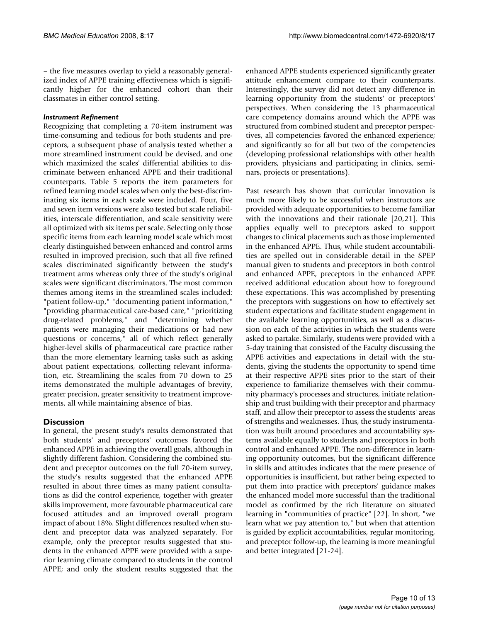– the five measures overlap to yield a reasonably generalized index of APPE training effectiveness which is significantly higher for the enhanced cohort than their classmates in either control setting.

## *Instrument Refinement*

Recognizing that completing a 70-item instrument was time-consuming and tedious for both students and preceptors, a subsequent phase of analysis tested whether a more streamlined instrument could be devised, and one which maximized the scales' differential abilities to discriminate between enhanced APPE and their traditional counterparts. Table 5 reports the item parameters for refined learning model scales when only the best-discriminating six items in each scale were included. Four, five and seven item versions were also tested but scale reliabilities, interscale differentiation, and scale sensitivity were all optimized with six items per scale. Selecting only those specific items from each learning model scale which most clearly distinguished between enhanced and control arms resulted in improved precision, such that all five refined scales discriminated significantly between the study's treatment arms whereas only three of the study's original scales were significant discriminators. The most common themes among items in the streamlined scales included: "patient follow-up," "documenting patient information," "providing pharmaceutical care-based care," "prioritizing drug-related problems," and "determining whether patients were managing their medications or had new questions or concerns," all of which reflect generally higher-level skills of pharmaceutical care practice rather than the more elementary learning tasks such as asking about patient expectations, collecting relevant information, etc. Streamlining the scales from 70 down to 25 items demonstrated the multiple advantages of brevity, greater precision, greater sensitivity to treatment improvements, all while maintaining absence of bias.

## **Discussion**

In general, the present study's results demonstrated that both students' and preceptors' outcomes favored the enhanced APPE in achieving the overall goals, although in slightly different fashion. Considering the combined student and preceptor outcomes on the full 70-item survey, the study's results suggested that the enhanced APPE resulted in about three times as many patient consultations as did the control experience, together with greater skills improvement, more favourable pharmaceutical care focused attitudes and an improved overall program impact of about 18%. Slight differences resulted when student and preceptor data was analyzed separately. For example, only the preceptor results suggested that students in the enhanced APPE were provided with a superior learning climate compared to students in the control APPE; and only the student results suggested that the enhanced APPE students experienced significantly greater attitude enhancement compare to their counterparts. Interestingly, the survey did not detect any difference in learning opportunity from the students' or preceptors' perspectives. When considering the 13 pharmaceutical care competency domains around which the APPE was structured from combined student and preceptor perspectives, all competencies favored the enhanced experience; and significantly so for all but two of the competencies (developing professional relationships with other health providers, physicians and participating in clinics, seminars, projects or presentations).

Past research has shown that curricular innovation is much more likely to be successful when instructors are provided with adequate opportunities to become familiar with the innovations and their rationale [20,21]. This applies equally well to preceptors asked to support changes to clinical placements such as those implemented in the enhanced APPE. Thus, while student accountabilities are spelled out in considerable detail in the SPEP manual given to students and preceptors in both control and enhanced APPE, preceptors in the enhanced APPE received additional education about how to foreground these expectations. This was accomplished by presenting the preceptors with suggestions on how to effectively set student expectations and facilitate student engagement in the available learning opportunities, as well as a discussion on each of the activities in which the students were asked to partake. Similarly, students were provided with a 5-day training that consisted of the Faculty discussing the APPE activities and expectations in detail with the students, giving the students the opportunity to spend time at their respective APPE sites prior to the start of their experience to familiarize themselves with their community pharmacy's processes and structures, initiate relationship and trust building with their preceptor and pharmacy staff, and allow their preceptor to assess the students' areas of strengths and weaknesses. Thus, the study instrumentation was built around procedures and accountability systems available equally to students and preceptors in both control and enhanced APPE. The non-difference in learning opportunity outcomes, but the significant difference in skills and attitudes indicates that the mere presence of opportunities is insufficient, but rather being expected to put them into practice with preceptors' guidance makes the enhanced model more successful than the traditional model as confirmed by the rich literature on situated learning in "communities of practice" [22]. In short, "we learn what we pay attention to," but when that attention is guided by explicit accountabilities, regular monitoring, and preceptor follow-up, the learning is more meaningful and better integrated [21-24].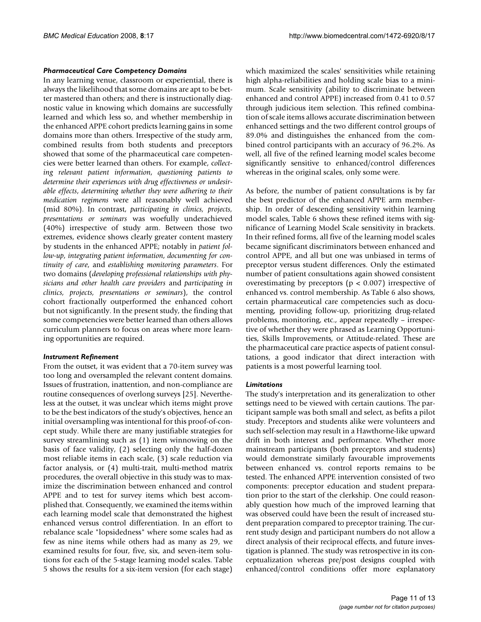#### *Pharmaceutical Care Competency Domains*

In any learning venue, classroom or experiential, there is always the likelihood that some domains are apt to be better mastered than others; and there is instructionally diagnostic value in knowing which domains are successfully learned and which less so, and whether membership in the enhanced APPE cohort predicts learning gains in some domains more than others. Irrespective of the study arm, combined results from both students and preceptors showed that some of the pharmaceutical care competencies were better learned than others. For example, c*ollecting relevant patient information*, *questioning patients to determine their experiences with drug effectiveness or undesirable effects*, *determining whether they were adhering to their medication regimens* were all reasonably well achieved (mid 80%). In contrast, *participating in clinics, projects, presentations or seminars* was woefully underachieved (40%) irrespective of study arm. Between those two extremes, evidence shows clearly greater content mastery by students in the enhanced APPE; notably in *patient follow-up*, *integrating patient information*, *documenting for continuity of care*, and *establishing monitoring parameters*. For two domains (*developing professional relationships with physicians and other health care providers* and *participating in clinics, projects, presentations or seminars*), the control cohort fractionally outperformed the enhanced cohort but not significantly. In the present study, the finding that some competencies were better learned than others allows curriculum planners to focus on areas where more learning opportunities are required.

### *Instrument Refinement*

From the outset, it was evident that a 70-item survey was too long and oversampled the relevant content domains. Issues of frustration, inattention, and non-compliance are routine consequences of overlong surveys [25]. Nevertheless at the outset, it was unclear which items might prove to be the best indicators of the study's objectives, hence an initial oversampling was intentional for this proof-of-concept study. While there are many justifiable strategies for survey streamlining such as (1) item winnowing on the basis of face validity, (2) selecting only the half-dozen most reliable items in each scale, (3) scale reduction via factor analysis, or (4) multi-trait, multi-method matrix procedures, the overall objective in this study was to maximize the discrimination between enhanced and control APPE and to test for survey items which best accomplished that. Consequently, we examined the items within each learning model scale that demonstrated the highest enhanced versus control differentiation. In an effort to rebalance scale "lopsidedness" where some scales had as few as nine items while others had as many as 29, we examined results for four, five, six, and seven-item solutions for each of the 5-stage learning model scales. Table 5 shows the results for a six-item version (for each stage)

which maximized the scales' sensitivities while retaining high alpha-reliabilities and holding scale bias to a minimum. Scale sensitivity (ability to discriminate between enhanced and control APPE) increased from 0.41 to 0.57 through judicious item selection. This refined combination of scale items allows accurate discrimination between enhanced settings and the two different control groups of 89.0% and distinguishes the enhanced from the combined control participants with an accuracy of 96.2%. As well, all five of the refined learning model scales become significantly sensitive to enhanced/control differences whereas in the original scales, only some were.

As before, the number of patient consultations is by far the best predictor of the enhanced APPE arm membership. In order of descending sensitivity within learning model scales, Table 6 shows these refined items with significance of Learning Model Scale sensitivity in brackets. In their refined forms, all five of the learning model scales became significant discriminators between enhanced and control APPE, and all but one was unbiased in terms of preceptor versus student differences. Only the estimated number of patient consultations again showed consistent overestimating by preceptors ( $p < 0.007$ ) irrespective of enhanced vs. control membership. As Table 6 also shows, certain pharmaceutical care competencies such as documenting, providing follow-up, prioritizing drug-related problems, monitoring, etc., appear repeatedly – irrespective of whether they were phrased as Learning Opportunities, Skills Improvements, or Attitude-related. These are the pharmaceutical care practice aspects of patient consultations, a good indicator that direct interaction with patients is a most powerful learning tool.

### *Limitations*

The study's interpretation and its generalization to other settings need to be viewed with certain cautions. The participant sample was both small and select, as befits a pilot study. Preceptors and students alike were volunteers and such self-selection may result in a Hawthorne-like upward drift in both interest and performance. Whether more mainstream participants (both preceptors and students) would demonstrate similarly favourable improvements between enhanced vs. control reports remains to be tested. The enhanced APPE intervention consisted of two components: preceptor education and student preparation prior to the start of the clerkship. One could reasonably question how much of the improved learning that was observed could have been the result of increased student preparation compared to preceptor training. The current study design and participant numbers do not allow a direct analysis of their reciprocal effects, and future investigation is planned. The study was retrospective in its conceptualization whereas pre/post designs coupled with enhanced/control conditions offer more explanatory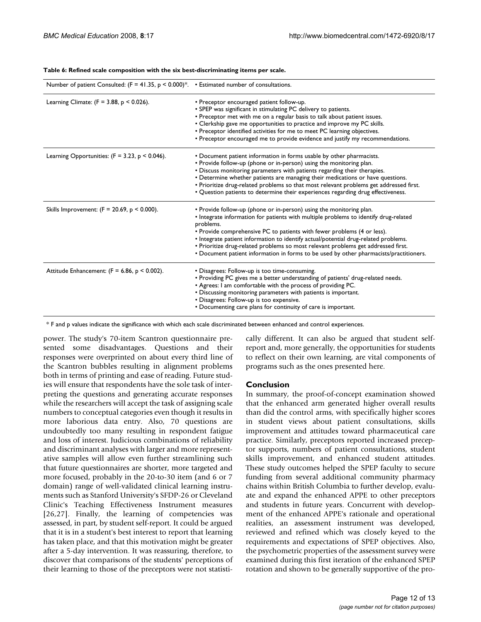#### **Table 6: Refined scale composition with the six best-discriminating items per scale.**

| Number of patient Consulted: $(F = 41.35, p < 0.000)^*$ . • Estimated number of consultations. |                                                                                                                                                                                                                                                                                                                                                                                                                                                                                                                           |
|------------------------------------------------------------------------------------------------|---------------------------------------------------------------------------------------------------------------------------------------------------------------------------------------------------------------------------------------------------------------------------------------------------------------------------------------------------------------------------------------------------------------------------------------------------------------------------------------------------------------------------|
| Learning Climate: $(F = 3.88, p < 0.026)$ .                                                    | • Preceptor encouraged patient follow-up.<br>• SPEP was significant in stimulating PC delivery to patients.<br>• Preceptor met with me on a regular basis to talk about patient issues.<br>• Clerkship gave me opportunities to practice and improve my PC skills.<br>• Preceptor identified activities for me to meet PC learning objectives.<br>• Preceptor encouraged me to provide evidence and justify my recommendations.                                                                                           |
| Learning Opportunities: $(F = 3.23, p < 0.046)$ .                                              | • Document patient information in forms usable by other pharmacists.<br>• Provide follow-up (phone or in-person) using the monitoring plan.<br>• Discuss monitoring parameters with patients regarding their therapies.<br>• Determine whether patients are managing their medications or have questions.<br>• Prioritize drug-related problems so that most relevant problems get addressed first.<br>• Question patients to determine their experiences regarding drug effectiveness.                                   |
| Skills Improvement: $(F = 20.69, p < 0.000)$ .                                                 | • Provide follow-up (phone or in-person) using the monitoring plan.<br>• Integrate information for patients with multiple problems to identify drug-related<br>problems.<br>• Provide comprehensive PC to patients with fewer problems (4 or less).<br>• Integrate patient information to identify actual/potential drug-related problems.<br>• Prioritize drug-related problems so most relevant problems get addressed first.<br>• Document patient information in forms to be used by other pharmacists/practitioners. |
| Attitude Enhancement: $(F = 6.86, p < 0.002)$ .                                                | • Disagrees: Follow-up is too time-consuming.<br>. Providing PC gives me a better understanding of patients' drug-related needs.<br>• Agrees: I am comfortable with the process of providing PC.<br>• Discussing monitoring parameters with patients is important.<br>• Disagrees: Follow-up is too expensive.<br>• Documenting care plans for continuity of care is important.                                                                                                                                           |

\* F and p values indicate the significance with which each scale discriminated between enhanced and control experiences.

power. The study's 70-item Scantron questionnaire presented some disadvantages. Questions and their responses were overprinted on about every third line of the Scantron bubbles resulting in alignment problems both in terms of printing and ease of reading. Future studies will ensure that respondents have the sole task of interpreting the questions and generating accurate responses while the researchers will accept the task of assigning scale numbers to conceptual categories even though it results in more laborious data entry. Also, 70 questions are undoubtedly too many resulting in respondent fatigue and loss of interest. Judicious combinations of reliability and discriminant analyses with larger and more representative samples will allow even further streamlining such that future questionnaires are shorter, more targeted and more focused, probably in the 20-to-30 item (and 6 or 7 domain) range of well-validated clinical learning instruments such as Stanford University's SFDP-26 or Cleveland Clinic's Teaching Effectiveness Instrument measures [26,27]. Finally, the learning of competencies was assessed, in part, by student self-report. It could be argued that it is in a student's best interest to report that learning has taken place, and that this motivation might be greater after a 5-day intervention. It was reassuring, therefore, to discover that comparisons of the students' perceptions of their learning to those of the preceptors were not statistically different. It can also be argued that student selfreport and, more generally, the opportunities for students to reflect on their own learning, are vital components of programs such as the ones presented here.

### **Conclusion**

In summary, the proof-of-concept examination showed that the enhanced arm generated higher overall results than did the control arms, with specifically higher scores in student views about patient consultations, skills improvement and attitudes toward pharmaceutical care practice. Similarly, preceptors reported increased preceptor supports, numbers of patient consultations, student skills improvement, and enhanced student attitudes. These study outcomes helped the SPEP faculty to secure funding from several additional community pharmacy chains within British Columbia to further develop, evaluate and expand the enhanced APPE to other preceptors and students in future years. Concurrent with development of the enhanced APPE's rationale and operational realities, an assessment instrument was developed, reviewed and refined which was closely keyed to the requirements and expectations of SPEP objectives. Also, the psychometric properties of the assessment survey were examined during this first iteration of the enhanced SPEP rotation and shown to be generally supportive of the pro